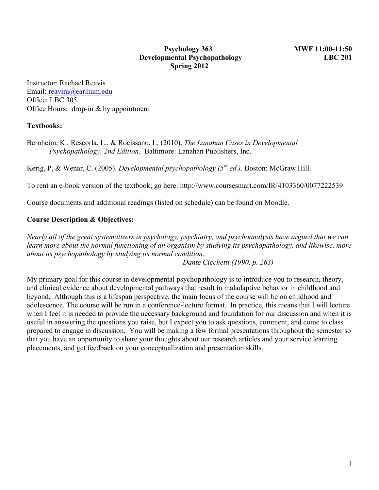#### **Psychology 363 MWF 11:00-11:50 Developmental Psychopathology LBC 201 Spring 2012**

Instructor: Rachael Reavis Email: reavira@earlham.edu Office: LBC 305 Office Hours: drop-in & by appointment

#### **Textbooks:**

Bernheim, K., Rescorla, L., & Rocissano, L. (2010). *The Lanahan Cases in Developmental Psychopathology, 2nd Edition.* Baltimore: Lanahan Publishers, Inc.

Kerig, P, & Wenar, C. (2005). *Developmental psychopathology (5th ed.)*. Boston: McGraw Hill.

To rent an e-book version of the textbook, go here: http://www.coursesmart.com/IR/4103360/0077222539

Course documents and additional readings (listed on schedule) can be found on Moodle.

#### **Course Description & Objectives:**

*Nearly all of the great systematizers in psychology, psychiatry, and psychoanalysis have argued that we can learn more about the normal functioning of an organism by studying its psychopathology, and likewise, more about its psychopathology by studying its normal condition.*

*Dante Cicchetti (1990, p. 263)*

My primary goal for this course in developmental psychopathology is to introduce you to research, theory, and clinical evidence about developmental pathways that result in maladaptive behavior in childhood and beyond. Although this is a lifespan perspective, the main focus of the course will be on childhood and adolescence. The course will be run in a conference-lecture format. In practice, this means that I will lecture when I feel it is needed to provide the necessary background and foundation for our discussion and when it is useful in answering the questions you raise, but I expect you to ask questions, comment, and come to class prepared to engage in discussion. You will be making a few formal presentations throughout the semester so that you have an opportunity to share your thoughts about our research articles and your service learning placements, and get feedback on your conceptualization and presentation skills.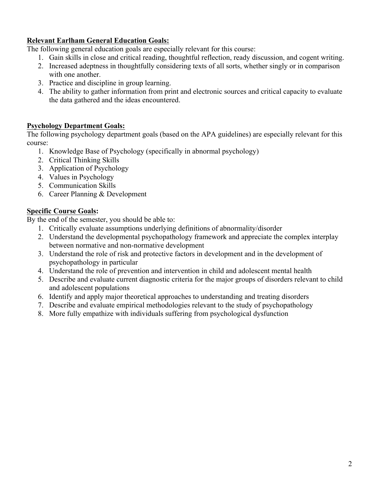## **Relevant Earlham General Education Goals:**

The following general education goals are especially relevant for this course:

- 1. Gain skills in close and critical reading, thoughtful reflection, ready discussion, and cogent writing.
- 2. Increased adeptness in thoughtfully considering texts of all sorts, whether singly or in comparison with one another.
- 3. Practice and discipline in group learning.
- 4. The ability to gather information from print and electronic sources and critical capacity to evaluate the data gathered and the ideas encountered.

# **Psychology Department Goals:**

The following psychology department goals (based on the APA guidelines) are especially relevant for this course:

- 1. Knowledge Base of Psychology (specifically in abnormal psychology)
- 2. Critical Thinking Skills
- 3. Application of Psychology
- 4. Values in Psychology
- 5. Communication Skills
- 6. Career Planning & Development

# **Specific Course Goals:**

By the end of the semester, you should be able to:

- 1. Critically evaluate assumptions underlying definitions of abnormality/disorder
- 2. Understand the developmental psychopathology framework and appreciate the complex interplay between normative and non-normative development
- 3. Understand the role of risk and protective factors in development and in the development of psychopathology in particular
- 4. Understand the role of prevention and intervention in child and adolescent mental health
- 5. Describe and evaluate current diagnostic criteria for the major groups of disorders relevant to child and adolescent populations
- 6. Identify and apply major theoretical approaches to understanding and treating disorders
- 7. Describe and evaluate empirical methodologies relevant to the study of psychopathology
- 8. More fully empathize with individuals suffering from psychological dysfunction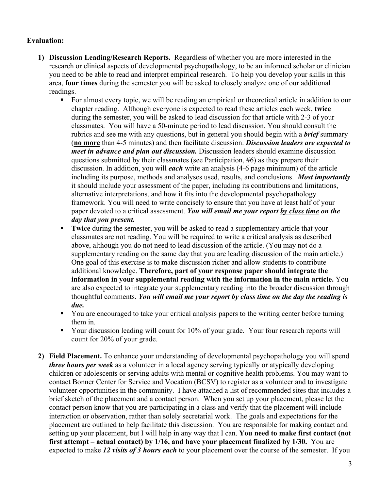#### **Evaluation:**

- **1) Discussion Leading/Research Reports.** Regardless of whether you are more interested in the research or clinical aspects of developmental psychopathology, to be an informed scholar or clinician you need to be able to read and interpret empirical research. To help you develop your skills in this area, **four times** during the semester you will be asked to closely analyze one of our additional readings.
	- For almost every topic, we will be reading an empirical or theoretical article in addition to our chapter reading. Although everyone is expected to read these articles each week, **twice** during the semester, you will be asked to lead discussion for that article with 2-3 of your classmates. You will have a 50-minute period to lead discussion. You should consult the rubrics and see me with any questions, but in general you should begin with a *brief* summary (**no more** than 4-5 minutes) and then facilitate discussion. *Discussion leaders are expected to meet in advance and plan out discussion.* Discussion leaders should examine discussion questions submitted by their classmates (see Participation, #6) as they prepare their discussion. In addition, you will *each* write an analysis (4-6 page minimum) of the article including its purpose, methods and analyses used, results, and conclusions. *Most importantly* it should include your assessment of the paper, including its contributions and limitations, alternative interpretations, and how it fits into the developmental psychopathology framework. You will need to write concisely to ensure that you have at least half of your paper devoted to a critical assessment. *You will email me your report by class time on the day that you present.*
	- **Twice** during the semester, you will be asked to read a supplementary article that your classmates are not reading. You will be required to write a critical analysis as described above, although you do not need to lead discussion of the article. (You may not do a supplementary reading on the same day that you are leading discussion of the main article.) One goal of this exercise is to make discussion richer and allow students to contribute additional knowledge. **Therefore, part of your response paper should integrate the information in your supplemental reading with the information in the main article.** You are also expected to integrate your supplementary reading into the broader discussion through thoughtful comments. *You will email me your report by class time on the day the reading is due.*
	- § You are encouraged to take your critical analysis papers to the writing center before turning them in.
	- Your discussion leading will count for 10% of your grade. Your four research reports will count for 20% of your grade.
- **2) Field Placement.** To enhance your understanding of developmental psychopathology you will spend *three hours per week* as a volunteer in a local agency serving typically or atypically developing children or adolescents or serving adults with mental or cognitive health problems. You may want to contact Bonner Center for Service and Vocation (BCSV) to register as a volunteer and to investigate volunteer opportunities in the community. I have attached a list of recommended sites that includes a brief sketch of the placement and a contact person. When you set up your placement, please let the contact person know that you are participating in a class and verify that the placement will include interaction or observation, rather than solely secretarial work. The goals and expectations for the placement are outlined to help facilitate this discussion. You are responsible for making contact and setting up your placement, but I will help in any way that I can. **You need to make first contact (not first attempt – actual contact) by 1/16, and have your placement finalized by 1/30.** You are expected to make *12 visits of 3 hours each* to your placement over the course of the semester. If you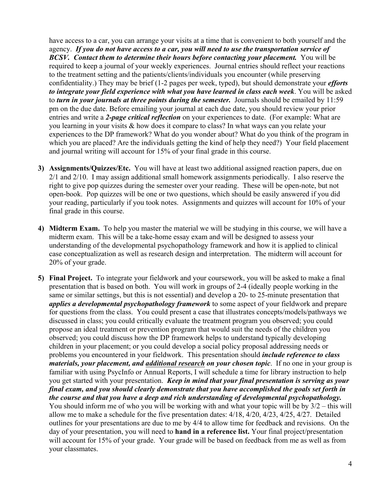have access to a car, you can arrange your visits at a time that is convenient to both yourself and the agency. *If you do not have access to a car, you will need to use the transportation service of BCSV. Contact them to determine their hours before contacting your placement.* **You will be** required to keep a journal of your weekly experiences. Journal entries should reflect your reactions to the treatment setting and the patients/clients/individuals you encounter (while preserving confidentiality.) They may be brief (1-2 pages per week, typed), but should demonstrate your *efforts to integrate your field experience with what you have learned in class each week*. You will be asked to *turn in your journals at three points during the semester.* Journals should be emailed by 11:59 pm on the due date. Before emailing your journal at each due date, you should review your prior entries and write a *2-page critical reflection* on your experiences to date. (For example: What are you learning in your visits & how does it compare to class? In what ways can you relate your experiences to the DP framework? What do you wonder about? What do you think of the program in which you are placed? Are the individuals getting the kind of help they need?) Your field placement and journal writing will account for 15% of your final grade in this course.

- **3) Assignments/Quizzes/Etc.** You will have at least two additional assigned reaction papers, due on 2/1 and 2/10. I may assign additional small homework assignments periodically. I also reserve the right to give pop quizzes during the semester over your reading. These will be open-note, but not open-book. Pop quizzes will be one or two questions, which should be easily answered if you did your reading, particularly if you took notes. Assignments and quizzes will account for 10% of your final grade in this course.
- **4) Midterm Exam.** To help you master the material we will be studying in this course, we will have a midterm exam. This will be a take-home essay exam and will be designed to assess your understanding of the developmental psychopathology framework and how it is applied to clinical case conceptualization as well as research design and interpretation. The midterm will account for 20% of your grade.
- **5) Final Project.** To integrate your fieldwork and your coursework, you will be asked to make a final presentation that is based on both. You will work in groups of 2-4 (ideally people working in the same or similar settings, but this is not essential) and develop a 20- to 25-minute presentation that *applies a developmental psychopathology framework* to some aspect of your fieldwork and prepare for questions from the class. You could present a case that illustrates concepts/models/pathways we discussed in class; you could critically evaluate the treatment program you observed; you could propose an ideal treatment or prevention program that would suit the needs of the children you observed; you could discuss how the DP framework helps to understand typically developing children in your placement; or you could develop a social policy proposal addressing needs or problems you encountered in your fieldwork. This presentation should *include reference to class materials, your placement, and additional research on your chosen topic*. If no one in your group is familiar with using PsycInfo or Annual Reports, I will schedule a time for library instruction to help you get started with your presentation. *Keep in mind that your final presentation is serving as your final exam, and you should clearly demonstrate that you have accomplished the goals set forth in the course and that you have a deep and rich understanding of developmental psychopathology.* You should inform me of who you will be working with and what your topic will be by 3/2 – this will allow me to make a schedule for the five presentation dates: 4/18, 4/20, 4/23, 4/25, 4/27. Detailed outlines for your presentations are due to me by 4/4 to allow time for feedback and revisions. On the day of your presentation, you will need to **hand in a reference list.** Your final project/presentation will account for 15% of your grade. Your grade will be based on feedback from me as well as from your classmates.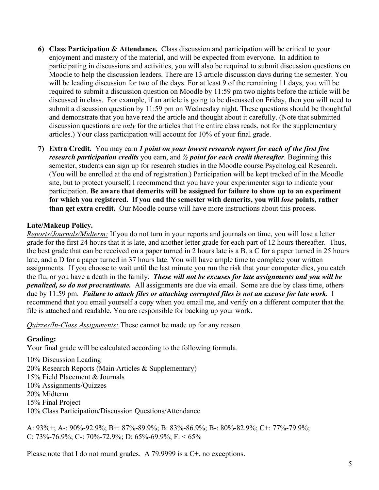- **6) Class Participation & Attendance.** Class discussion and participation will be critical to your enjoyment and mastery of the material, and will be expected from everyone. In addition to participating in discussions and activities, you will also be required to submit discussion questions on Moodle to help the discussion leaders. There are 13 article discussion days during the semester. You will be leading discussion for two of the days. For at least 9 of the remaining 11 days, you will be required to submit a discussion question on Moodle by 11:59 pm two nights before the article will be discussed in class. For example, if an article is going to be discussed on Friday, then you will need to submit a discussion question by 11:59 pm on Wednesday night. These questions should be thoughtful and demonstrate that you have read the article and thought about it carefully. (Note that submitted discussion questions are *only* for the articles that the entire class reads, not for the supplementary articles.) Your class participation will account for 10% of your final grade.
- **7) Extra Credit.** You may earn *1 point on your lowest research report for each of the first five research participation credits* you earn, and *½ point for each credit thereafter*. Beginning this semester, students can sign up for research studies in the Moodle course Psychological Research. (You will be enrolled at the end of registration.) Participation will be kept tracked of in the Moodle site, but to protect yourself, I recommend that you have your experimenter sign to indicate your participation. **Be aware that demerits will be assigned for failure to show up to an experiment for which you registered. If you end the semester with demerits, you will** *lose* **points, rather than get extra credit.** Our Moodle course will have more instructions about this process.

# **Late/Makeup Policy.**

*Reports/Journals/Midterm:* If you do not turn in your reports and journals on time, you will lose a letter grade for the first 24 hours that it is late, and another letter grade for each part of 12 hours thereafter. Thus, the best grade that can be received on a paper turned in 2 hours late is a B, a C for a paper turned in 25 hours late, and a D for a paper turned in 37 hours late. You will have ample time to complete your written assignments. If you choose to wait until the last minute you run the risk that your computer dies, you catch the flu, or you have a death in the family. *These will not be excuses for late assignments and you will be penalized, so do not procrastinate.* All assignments are due via email. Some are due by class time, others due by 11:59 pm. *Failure to attach files or attaching corrupted files is not an excuse for late work.* I recommend that you email yourself a copy when you email me, and verify on a different computer that the file is attached and readable. You are responsible for backing up your work.

*Quizzes/In-Class Assignments:* These cannot be made up for any reason.

#### **Grading:**

Your final grade will be calculated according to the following formula.

10% Discussion Leading 20% Research Reports (Main Articles & Supplementary) 15% Field Placement & Journals 10% Assignments/Quizzes 20% Midterm 15% Final Project 10% Class Participation/Discussion Questions/Attendance

A: 93%+; A-: 90%-92.9%; B+: 87%-89.9%; B: 83%-86.9%; B-: 80%-82.9%; C+: 77%-79.9%; C: 73%-76.9%; C-: 70%-72.9%; D: 65%-69.9%; F: < 65%

Please note that I do not round grades. A 79.9999 is a C+, no exceptions.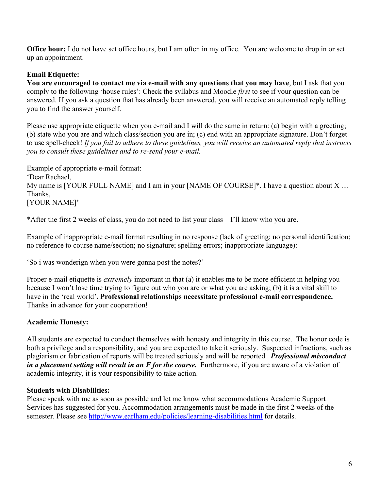**Office hour:** I do not have set office hours, but I am often in my office. You are welcome to drop in or set up an appointment.

## **Email Etiquette:**

**You are encouraged to contact me via e-mail with any questions that you may have**, but I ask that you comply to the following 'house rules': Check the syllabus and Moodle *first* to see if your question can be answered. If you ask a question that has already been answered, you will receive an automated reply telling you to find the answer yourself.

Please use appropriate etiquette when you e-mail and I will do the same in return: (a) begin with a greeting; (b) state who you are and which class/section you are in; (c) end with an appropriate signature. Don't forget to use spell-check! *If you fail to adhere to these guidelines, you will receive an automated reply that instructs you to consult these guidelines and to re-send your e-mail.*

Example of appropriate e-mail format: 'Dear Rachael, My name is [YOUR FULL NAME] and I am in your [NAME OF COURSE]\*. I have a question about X .... Thanks, [YOUR NAME]'

\*After the first 2 weeks of class, you do not need to list your class – I'll know who you are.

Example of inappropriate e-mail format resulting in no response (lack of greeting; no personal identification; no reference to course name/section; no signature; spelling errors; inappropriate language):

'So i was wonderign when you were gonna post the notes?'

Proper e-mail etiquette is *extremely* important in that (a) it enables me to be more efficient in helping you because I won't lose time trying to figure out who you are or what you are asking; (b) it is a vital skill to have in the 'real world'**. Professional relationships necessitate professional e-mail correspondence.** Thanks in advance for your cooperation!

# **Academic Honesty:**

All students are expected to conduct themselves with honesty and integrity in this course. The honor code is both a privilege and a responsibility, and you are expected to take it seriously. Suspected infractions, such as plagiarism or fabrication of reports will be treated seriously and will be reported. *Professional misconduct in a placement setting will result in an F for the course.* Furthermore, if you are aware of a violation of academic integrity, it is your responsibility to take action.

#### **Students with Disabilities:**

Please speak with me as soon as possible and let me know what accommodations Academic Support Services has suggested for you. Accommodation arrangements must be made in the first 2 weeks of the semester. Please see http://www.earlham.edu/policies/learning-disabilities.html for details.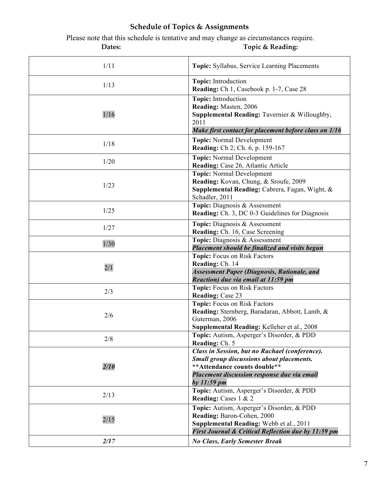# **Schedule of Topics & Assignments**

Please note that this schedule is tentative and may change as circumstances require. Dates: Topic & Reading:

| 1/11 | Topic: Syllabus, Service Learning Placements                                                                                                                                                      |
|------|---------------------------------------------------------------------------------------------------------------------------------------------------------------------------------------------------|
| 1/13 | Topic: Introduction<br>Reading: Ch 1, Casebook p. 1-7, Case 28                                                                                                                                    |
| 1/16 | Topic: Introduction<br>Reading: Masten, 2006<br>Supplemental Reading: Tavernier & Willoughby,<br>2011<br>Make first contact for placement before class on 1/16                                    |
| 1/18 | <b>Topic:</b> Normal Development<br><b>Reading:</b> Ch 2; Ch. 6, p. 159-167                                                                                                                       |
| 1/20 | <b>Topic:</b> Normal Development<br>Reading: Case 26, Atlantic Article                                                                                                                            |
| 1/23 | <b>Topic:</b> Normal Development<br>Reading: Kovan, Chung, & Sroufe, 2009<br>Supplemental Reading: Cabrera, Fagan, Wight, &<br>Schadler, 2011                                                     |
| 1/25 | Topic: Diagnosis & Assessment<br><b>Reading:</b> Ch. 3, DC 0-3 Guidelines for Diagnosis                                                                                                           |
| 1/27 | Topic: Diagnosis & Assessment<br>Reading: Ch. 16, Case Screening                                                                                                                                  |
| 1/30 | Topic: Diagnosis & Assessment<br>Placement should be finalized and visits begun                                                                                                                   |
| 2/1  | Topic: Focus on Risk Factors<br>Reading: Ch. 14<br><b>Assessment Paper (Diagnosis, Rationale, and</b><br>Reaction) due via email at 11:59 pm                                                      |
| 2/3  | Topic: Focus on Risk Factors<br><b>Reading: Case 23</b>                                                                                                                                           |
| 2/6  | Topic: Focus on Risk Factors<br>Reading: Sternberg, Baradaran, Abbott, Lamb, &<br>Guterman, 2006<br>Supplemental Reading: Kelleher et al., 2008                                                   |
| 2/8  | Topic: Autism, Asperger's Disorder, & PDD<br>Reading: Ch. 5                                                                                                                                       |
| 2/10 | Class in Session, but no Rachael (conference).<br><b>Small group discussions about placements.</b><br>** Attendance counts double**<br>Placement discussion response due via email<br>by 11:59 pm |
| 2/13 | Topic: Autism, Asperger's Disorder, & PDD<br>Reading: Cases 1 & 2                                                                                                                                 |
| 2/15 | Topic: Autism, Asperger's Disorder, & PDD<br>Reading: Baron-Cohen, 2000<br>Supplemental Reading: Webb et al., 2011<br>First Journal & Critical Reflection due by 11:59 pm                         |
| 2/17 | <b>No Class, Early Semester Break</b>                                                                                                                                                             |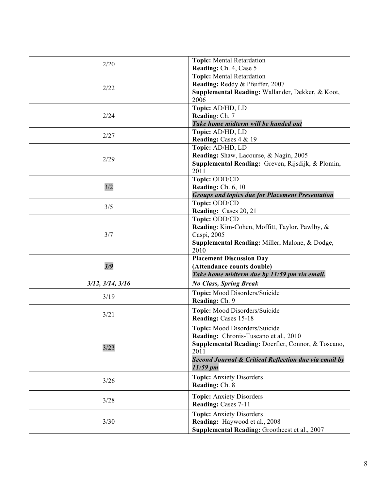| 2/20                     | <b>Topic:</b> Mental Retardation<br>Reading: Ch. 4, Case 5                                                                                                                                                          |
|--------------------------|---------------------------------------------------------------------------------------------------------------------------------------------------------------------------------------------------------------------|
| 2/22                     | <b>Topic:</b> Mental Retardation<br>Reading: Reddy & Pfeiffer, 2007<br>Supplemental Reading: Wallander, Dekker, & Koot,<br>2006                                                                                     |
| 2/24                     | Topic: AD/HD, LD<br>Reading: Ch. 7<br>Take home midterm will be handed out                                                                                                                                          |
| 2/27                     | Topic: AD/HD, LD<br>Reading: Cases 4 & 19                                                                                                                                                                           |
| 2/29                     | Topic: AD/HD, LD<br>Reading: Shaw, Lacourse, & Nagin, 2005<br>Supplemental Reading: Greven, Rijsdijk, & Plomin,<br>2011                                                                                             |
| 3/2                      | Topic: ODD/CD<br><b>Reading:</b> Ch. 6, 10<br><b>Groups and topics due for Placement Presentation</b>                                                                                                               |
| 3/5                      | Topic: ODD/CD<br>Reading: Cases 20, 21                                                                                                                                                                              |
| 3/7                      | Topic: ODD/CD<br>Reading: Kim-Cohen, Moffitt, Taylor, Pawlby, &<br>Caspi, 2005<br>Supplemental Reading: Miller, Malone, & Dodge,<br>2010                                                                            |
| 3/9                      | <b>Placement Discussion Day</b><br>(Attendance counts double)<br>Take home midterm due by 11:59 pm via email.                                                                                                       |
| $3/12$ , $3/14$ , $3/16$ | <b>No Class, Spring Break</b>                                                                                                                                                                                       |
| 3/19                     | Topic: Mood Disorders/Suicide<br>Reading: Ch. 9                                                                                                                                                                     |
| 3/21                     | Topic: Mood Disorders/Suicide<br>Reading: Cases 15-18                                                                                                                                                               |
| 3/23                     | Topic: Mood Disorders/Suicide<br>Reading: Chronis-Tuscano et al., 2010<br>Supplemental Reading: Doerfler, Connor, & Toscano,<br>2011<br>Second Journal & Critical Reflection due via email by<br>$11:59 \text{ pm}$ |
| 3/26                     | <b>Topic:</b> Anxiety Disorders<br>Reading: Ch. 8                                                                                                                                                                   |
| 3/28                     | <b>Topic:</b> Anxiety Disorders<br>Reading: Cases 7-11                                                                                                                                                              |
| 3/30                     | <b>Topic:</b> Anxiety Disorders<br>Reading: Haywood et al., 2008<br>Supplemental Reading: Grootheest et al., 2007                                                                                                   |